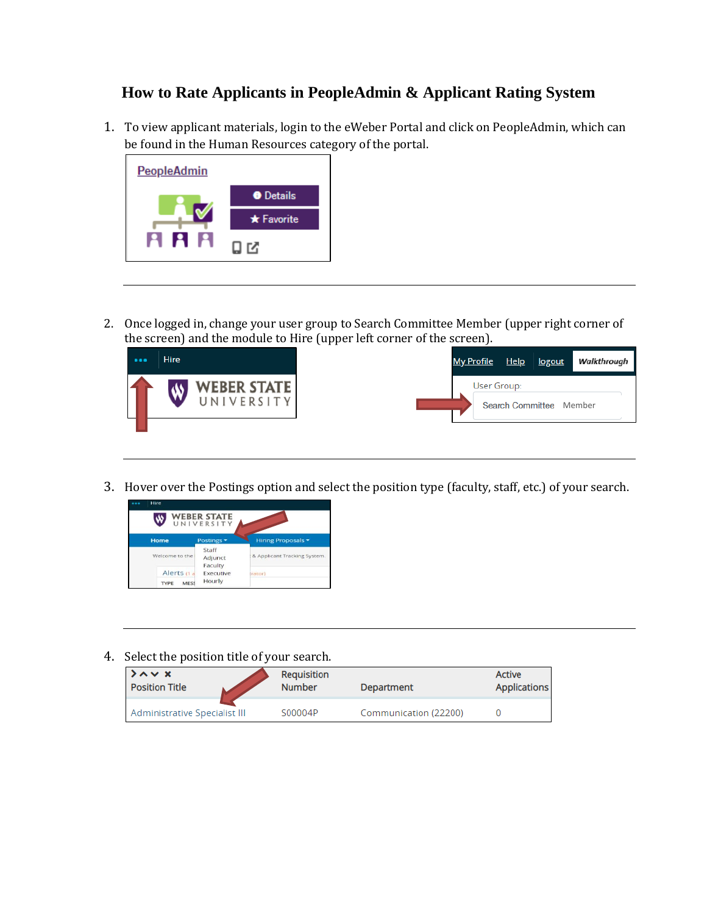## **How to Rate Applicants in PeopleAdmin & Applicant Rating System**

1. To view applicant materials, login to the eWeber Portal and click on PeopleAdmin, which can be found in the Human Resources category of the portal.



2. Once logged in, change your user group to Search Committee Member (upper right corner of the screen) and the module to Hire (upper left corner of the screen).



3. Hover over the Postings option and select the position type (faculty, staff, etc.) of your search.



4. Select the position title of your search.

| $\lambda \sim x$              | Requisition   | Department            | <b>Active</b>       |
|-------------------------------|---------------|-----------------------|---------------------|
| <b>Position Title</b>         | <b>Number</b> |                       | <b>Applications</b> |
| Administrative Specialist III | S00004P       | Communication (22200) |                     |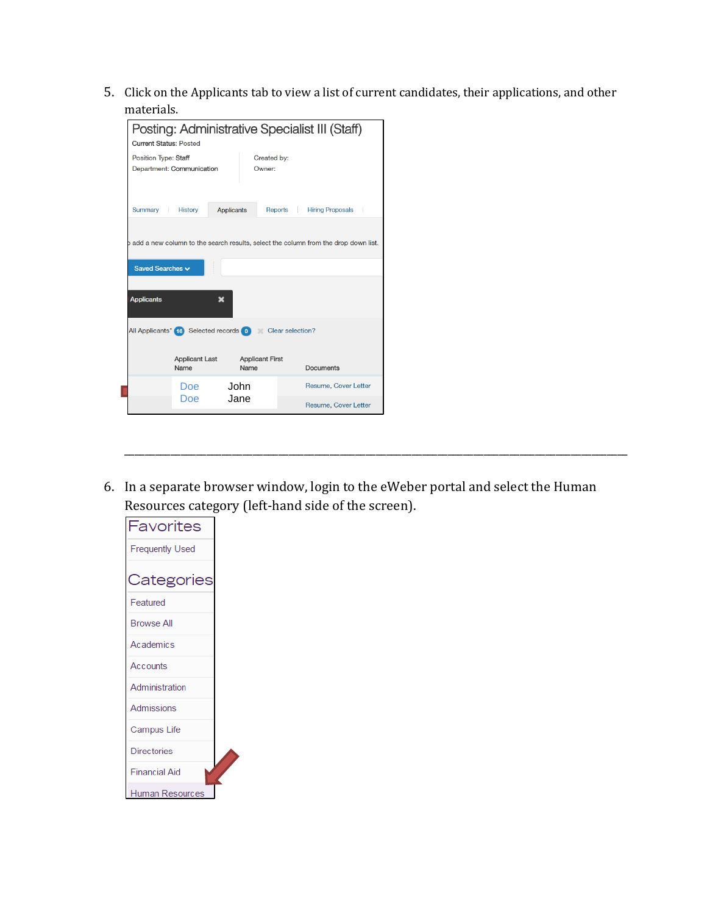5. Click on the Applicants tab to view a list of current candidates, their applications, and other materials.

| Posting: Administrative Specialist III (Staff)<br><b>Current Status: Posted</b>      |                   |                        |                             |  |  |  |
|--------------------------------------------------------------------------------------|-------------------|------------------------|-----------------------------|--|--|--|
| <b>Position Type: Staff</b><br>Department: Communication                             |                   | Created by:<br>Owner:  |                             |  |  |  |
| Summary<br><b>History</b>                                                            | <b>Applicants</b> |                        | Reports Hiring Proposals    |  |  |  |
| b add a new column to the search results, select the column from the drop down list. |                   |                        |                             |  |  |  |
| Saved Searches v                                                                     |                   |                        |                             |  |  |  |
| <b>Applicants</b><br>×                                                               |                   |                        |                             |  |  |  |
| All Applicants" (6) Selected records 0 Clear selection?                              |                   |                        |                             |  |  |  |
| <b>Applicant Last</b><br>Name                                                        | Name              | <b>Applicant First</b> | <b>Documents</b>            |  |  |  |
| Doe:                                                                                 | John              |                        | Resume, Cover Letter        |  |  |  |
| Doe                                                                                  | Jane              |                        | <b>Resume, Cover Letter</b> |  |  |  |

6. In a separate browser window, login to the eWeber portal and select the Human Resources category (left-hand side of the screen).

\_\_\_\_\_\_\_\_\_\_\_\_\_\_\_\_\_\_\_\_\_\_\_\_\_\_\_\_\_\_\_\_\_\_\_\_\_\_\_\_\_\_\_\_\_\_\_\_\_\_\_\_\_\_\_\_\_\_\_\_\_\_\_\_\_\_\_\_\_\_\_\_\_\_\_\_\_\_\_\_\_\_\_\_\_\_\_\_\_\_\_\_\_\_\_\_\_\_

| Favorites              |  |
|------------------------|--|
| <b>Frequently Used</b> |  |
|                        |  |
| Categories             |  |
| Featured               |  |
| <b>Browse All</b>      |  |
| Academics              |  |
| Accounts               |  |
| Administration         |  |
| <b>Admissions</b>      |  |
| Campus Life            |  |
| <b>Directories</b>     |  |
| <b>Financial Aid</b>   |  |
| Human Resources        |  |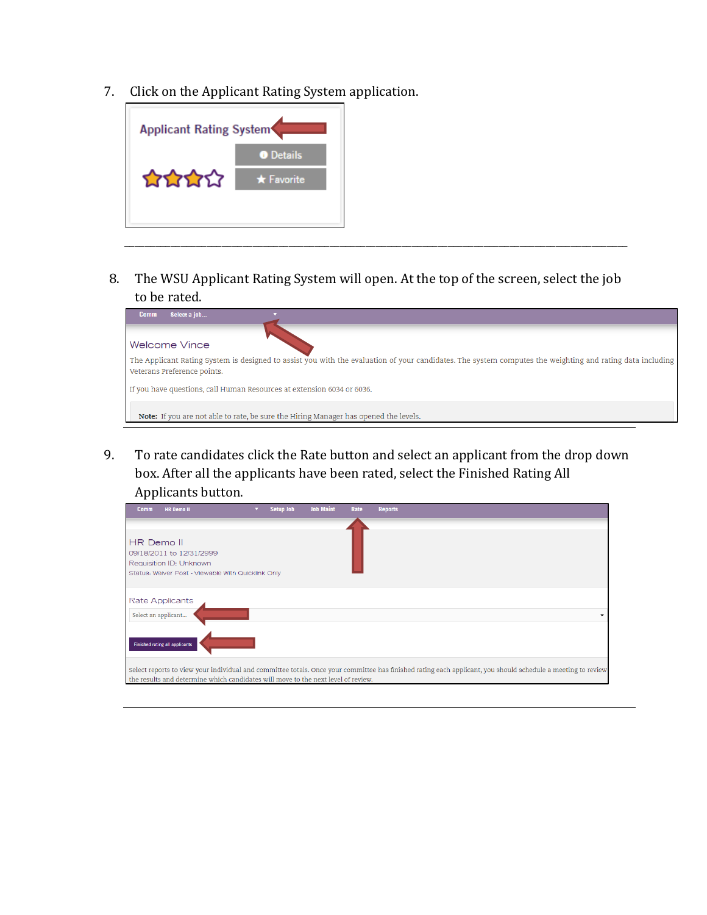7. Click on the Applicant Rating System application.



8. The WSU Applicant Rating System will open. At the top of the screen, select the job to be rated.

\_\_\_\_\_\_\_\_\_\_\_\_\_\_\_\_\_\_\_\_\_\_\_\_\_\_\_\_\_\_\_\_\_\_\_\_\_\_\_\_\_\_\_\_\_\_\_\_\_\_\_\_\_\_\_\_\_\_\_\_\_\_\_\_\_\_\_\_\_\_\_\_\_\_\_\_\_\_\_\_\_\_\_\_\_\_\_\_\_\_\_\_\_\_\_\_\_\_

| Select a job<br><b>Comm</b>                                                                                                                                                              |
|------------------------------------------------------------------------------------------------------------------------------------------------------------------------------------------|
| Welcome Vince                                                                                                                                                                            |
| The Applicant Rating System is designed to assist you with the evaluation of your candidates. The system computes the weighting and rating data including<br>Veterans Preference points. |
| If you have questions, call Human Resources at extension 6034 or 6036.                                                                                                                   |
| <b>Note:</b> If you are not able to rate, be sure the Hiring Manager has opened the levels.                                                                                              |

9. To rate candidates click the Rate button and select an applicant from the drop down box. After all the applicants have been rated, select the Finished Rating All Applicants button.